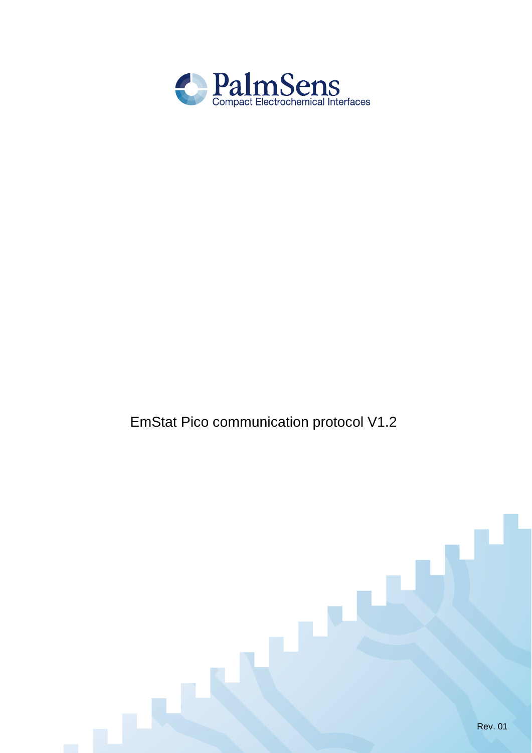

# EmStat Pico communication protocol V1.2

L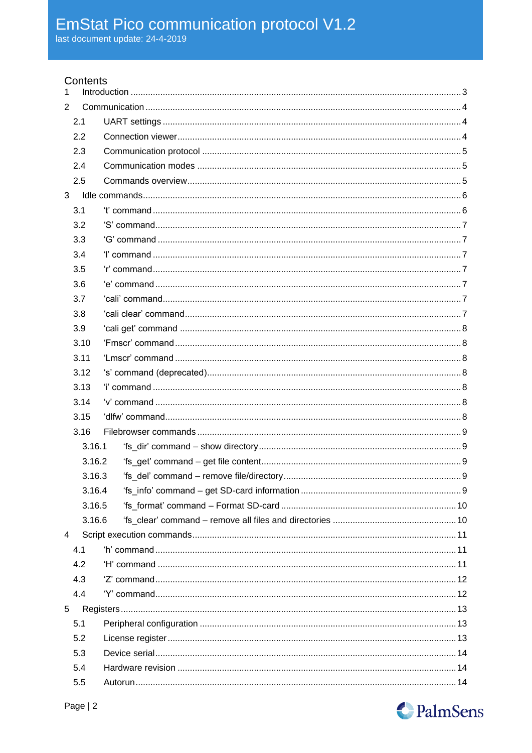## Contents

| 1              |        |  |
|----------------|--------|--|
| $\overline{2}$ |        |  |
|                | 2.1    |  |
|                | 2.2    |  |
|                | 2.3    |  |
|                | 2.4    |  |
|                | 2.5    |  |
| 3              |        |  |
|                | 3.1    |  |
|                | 3.2    |  |
|                | 3.3    |  |
|                | 3.4    |  |
|                | 3.5    |  |
|                | 3.6    |  |
|                | 3.7    |  |
|                | 3.8    |  |
|                | 3.9    |  |
|                | 3.10   |  |
|                | 3.11   |  |
|                | 3.12   |  |
|                | 3.13   |  |
|                | 3.14   |  |
|                | 3.15   |  |
|                | 3.16   |  |
|                | 3.16.1 |  |
|                | 3.16.2 |  |
|                | 3.16.3 |  |
|                | 3.16.4 |  |
|                | 3.16.5 |  |
|                | 3.16.6 |  |
| $\overline{4}$ |        |  |
|                | 4.1    |  |
|                | 4.2    |  |
|                | 4.3    |  |
|                | 4.4    |  |
| 5              |        |  |
|                | 5.1    |  |
|                | 5.2    |  |
|                | 5.3    |  |
|                | 5.4    |  |
|                | 5.5    |  |

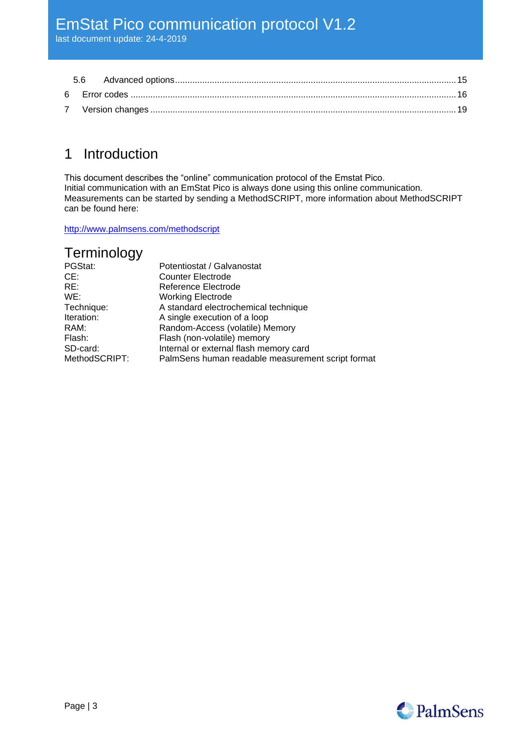## <span id="page-2-0"></span>1 Introduction

This document describes the "online" communication protocol of the Emstat Pico. Initial communication with an EmStat Pico is always done using this online communication. Measurements can be started by sending a MethodSCRIPT, more information about MethodSCRIPT can be found here:

<http://www.palmsens.com/methodscript>

## Terminology

| PGStat:       | Potentiostat / Galvanostat                        |
|---------------|---------------------------------------------------|
| CE:           | <b>Counter Electrode</b>                          |
| RE:           | Reference Electrode                               |
| WE:           | <b>Working Electrode</b>                          |
| Technique:    | A standard electrochemical technique              |
| Iteration:    | A single execution of a loop                      |
| RAM:          | Random-Access (volatile) Memory                   |
| Flash:        | Flash (non-volatile) memory                       |
| SD-card:      | Internal or external flash memory card            |
| MethodSCRIPT: | PalmSens human readable measurement script format |

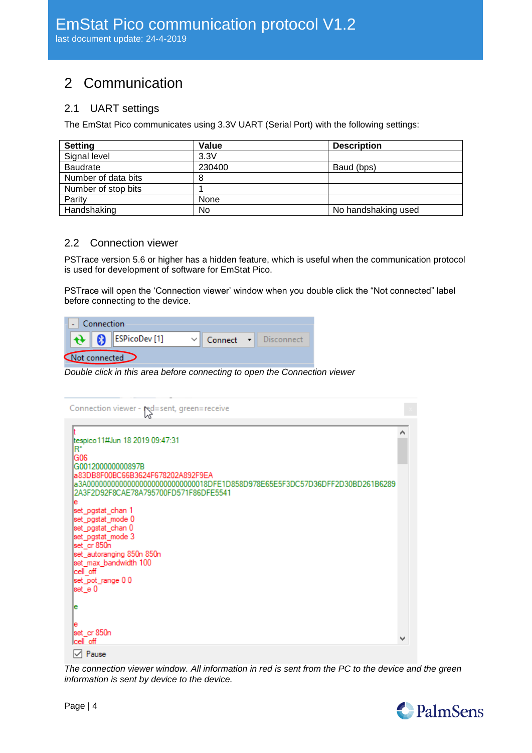# <span id="page-3-0"></span>2 Communication

## <span id="page-3-1"></span>2.1 UART settings

The EmStat Pico communicates using 3.3V UART (Serial Port) with the following settings:

| <b>Setting</b>      | Value  | <b>Description</b>  |
|---------------------|--------|---------------------|
| Signal level        | 3.3V   |                     |
| <b>Baudrate</b>     | 230400 | Baud (bps)          |
| Number of data bits | 8      |                     |
| Number of stop bits |        |                     |
| Parity              | None   |                     |
| Handshaking         | No     | No handshaking used |

#### <span id="page-3-2"></span>2.2 Connection viewer

PSTrace version 5.6 or higher has a hidden feature, which is useful when the communication protocol is used for development of software for EmStat Pico.

PSTrace will open the 'Connection viewer' window when you double click the "Not connected" label before connecting to the device.

|               | Connection |                                               |  |                      |
|---------------|------------|-----------------------------------------------|--|----------------------|
|               |            | $\bigoplus$ $\bigotimes$ <b>ESPicoDev</b> [1] |  | Connect - Disconnect |
| Not connected |            |                                               |  |                      |

*Double click in this area before connecting to open the Connection viewer*

| Connection viewer - red=sent, green=receive                                                                                                                                      |  |
|----------------------------------------------------------------------------------------------------------------------------------------------------------------------------------|--|
| tespico 11#Jun 18 2019 09:47:31<br>B.<br>G06                                                                                                                                     |  |
| G001200000000897B<br>a83DB8F00BC66B3624F678202A892F9EA<br>a3A0000000000000000000000000000018DFE1D858D978E65E5F3DC57D36DFF2D30BD261B6289<br>2A3F2D92F8CAE78A795700FD571F86DFE5541 |  |
| е<br>set_pgstat_chan_1<br>set_pgstat_mode 0<br>set_pgstat_chan 0<br>set_pgstat_mode 3                                                                                            |  |
| set_cr 850n<br>set_autoranging 850n 850n<br>set_max_bandwidth 100<br>cell_off                                                                                                    |  |
| set_pot_range 0 0<br>set_e 0<br>е                                                                                                                                                |  |
| е<br>set_cr 850n<br>lcell off                                                                                                                                                    |  |

*The connection viewer window. All information in red is sent from the PC to the device and the green information is sent by device to the device.*

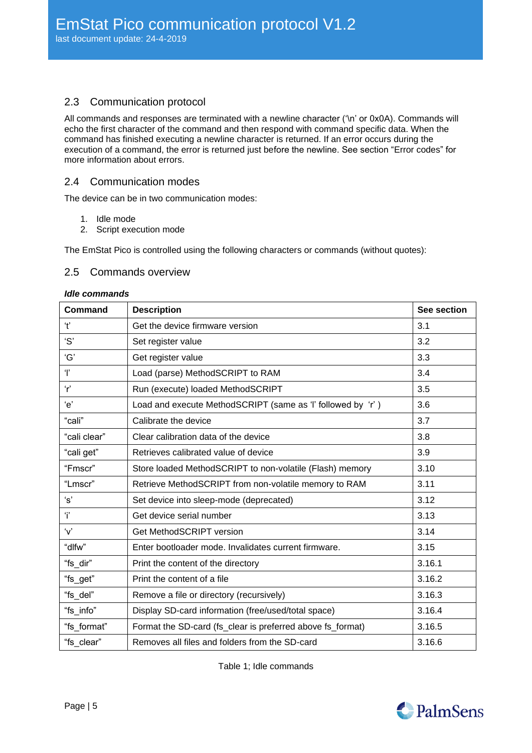## <span id="page-4-0"></span>2.3 Communication protocol

All commands and responses are terminated with a newline character ('\n' or 0x0A). Commands will echo the first character of the command and then respond with command specific data. When the command has finished executing a newline character is returned. If an error occurs during the execution of a command, the error is returned just before the newline. See section ["Error codes"](#page-15-0) for more information about errors.

#### <span id="page-4-1"></span>2.4 Communication modes

The device can be in two communication modes:

- 1. Idle mode
- 2. Script execution mode

<span id="page-4-2"></span>The EmStat Pico is controlled using the following characters or commands (without quotes):

#### 2.5 Commands overview

#### *Idle commands*

| <b>Command</b> | <b>Description</b>                                          | See section |
|----------------|-------------------------------------------------------------|-------------|
| $\ddot{\tau}$  | Get the device firmware version                             | 3.1         |
| 'S'            | Set register value                                          | 3.2         |
| 'G'            | Get register value                                          | 3.3         |
| Ŧ              | Load (parse) MethodSCRIPT to RAM                            | 3.4         |
| r              | Run (execute) loaded MethodSCRIPT                           | 3.5         |
| 'e'            | Load and execute MethodSCRIPT (same as 'l' followed by 'r') | 3.6         |
| "cali"         | Calibrate the device                                        | 3.7         |
| "cali clear"   | Clear calibration data of the device                        | 3.8         |
| "cali get"     | Retrieves calibrated value of device                        | 3.9         |
| "Fmscr"        | Store loaded MethodSCRIPT to non-volatile (Flash) memory    | 3.10        |
| "Lmscr"        | Retrieve MethodSCRIPT from non-volatile memory to RAM       | 3.11        |
| 's'            | Set device into sleep-mode (deprecated)                     | 3.12        |
| Ÿ              | Get device serial number                                    | 3.13        |
| $\mathbf{v}$   | Get MethodSCRIPT version                                    | 3.14        |
| "dlfw"         | Enter bootloader mode. Invalidates current firmware.        | 3.15        |
| "fs_dir"       | Print the content of the directory                          | 3.16.1      |
| "fs_get"       | Print the content of a file                                 | 3.16.2      |
| "fs_del"       | Remove a file or directory (recursively)                    | 3.16.3      |
| "fs_info"      | Display SD-card information (free/used/total space)         | 3.16.4      |
| "fs_format"    | Format the SD-card (fs_clear is preferred above fs_format)  | 3.16.5      |
| "fs clear"     | Removes all files and folders from the SD-card              | 3.16.6      |

Table 1; Idle commands

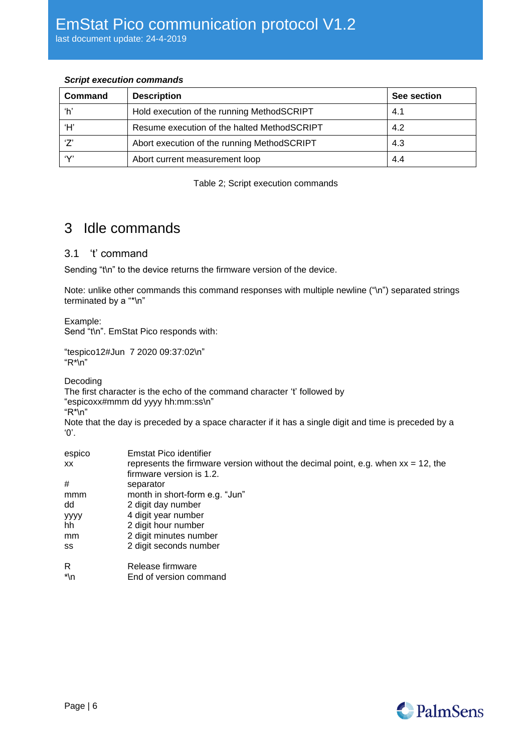#### *Script execution commands*

| Command       | <b>Description</b>                          | See section |
|---------------|---------------------------------------------|-------------|
| ʻh'           | Hold execution of the running MethodSCRIPT  | 4.1         |
| ʻH'           | Resume execution of the halted MethodSCRIPT | 4.2         |
| $\mathcal{L}$ | Abort execution of the running MethodSCRIPT | 4.3         |
| $\sim$        | Abort current measurement loop              | 4.4         |

Table 2; Script execution commands

## <span id="page-5-0"></span>3 Idle commands

#### <span id="page-5-1"></span>3.1 't' command

Sending "t\n" to the device returns the firmware version of the device.

Note: unlike other commands this command responses with multiple newline ("\n") separated strings terminated by a "\*\n"

Example:

Send "t\n". EmStat Pico responds with:

"tespico12#Jun 7 2020 09:37:02\n" "R\*\n"

Decoding

|  |  |  | The first character is the echo of the command character 't' followed by |
|--|--|--|--------------------------------------------------------------------------|
|  |  |  |                                                                          |

"espicoxx#mmm dd yyyy hh:mm:ss\n"

"R\*\n"

Note that the day is preceded by a space character if it has a single digit and time is preceded by a '0'.

| espico    | <b>Emstat Pico identifier</b>                                                        |
|-----------|--------------------------------------------------------------------------------------|
| <b>XX</b> | represents the firmware version without the decimal point, e.g. when $xx = 12$ , the |
|           | firmware version is 1.2.                                                             |
| #         | separator                                                                            |
| mmm       | month in short-form e.g. "Jun"                                                       |
| dd        | 2 digit day number                                                                   |
| уууу      | 4 digit year number                                                                  |
| hh        | 2 digit hour number                                                                  |
| mm        | 2 digit minutes number                                                               |
| SS        | 2 digit seconds number                                                               |
| R         | Release firmware                                                                     |
| *\n       | End of version command                                                               |

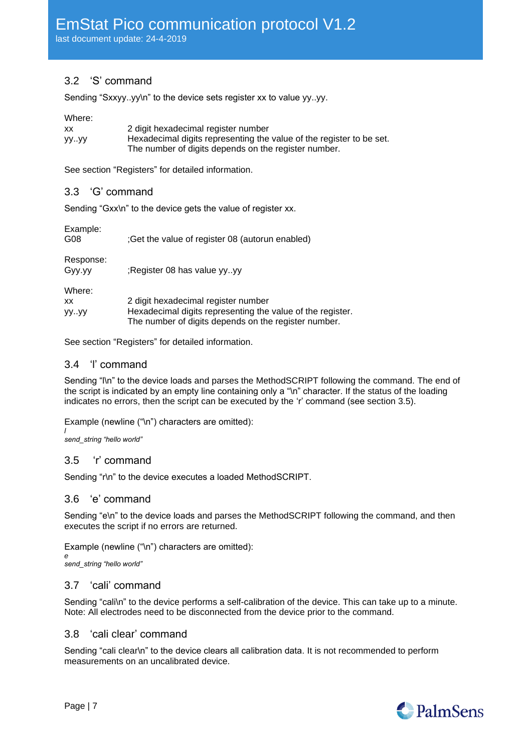## <span id="page-6-0"></span>3.2 'S' command

Sending "Sxxyy..yy\n" to the device sets register xx to value yy..yy.

#### Where:

| XX   | 2 digit hexadecimal register number                                  |
|------|----------------------------------------------------------------------|
| yyyy | Hexadecimal digits representing the value of the register to be set. |
|      | The number of digits depends on the register number.                 |

<span id="page-6-1"></span>See section ["Registers"](#page-12-0) for detailed information.

#### 3.3 'G' command

Sending "Gxx\n" to the device gets the value of register xx.

Example:

| G08 |  | ;Get the value of register 08 (autorun enabled) |
|-----|--|-------------------------------------------------|

Response:

Gyy.yy ;Register 08 has value yy..yy

Where:

| XX   | 2 digit hexadecimal register number                        |
|------|------------------------------------------------------------|
| yyyy | Hexadecimal digits representing the value of the register. |
|      | The number of digits depends on the register number.       |
|      |                                                            |

<span id="page-6-2"></span>See section ["Registers"](#page-12-0) for detailed information.

#### 3.4 'l' command

Sending "I\n" to the device loads and parses the MethodSCRIPT following the command. The end of the script is indicated by an empty line containing only a "\n" character. If the status of the loading indicates no errors, then the script can be executed by the 'r' command (see section [3.5\)](#page-6-7).

Example (newline ("\n") characters are omitted):

*l send\_string "hello world"*

#### <span id="page-6-7"></span><span id="page-6-3"></span>3.5 'r' command

Sending "r\n" to the device executes a loaded MethodSCRIPT.

#### <span id="page-6-4"></span>3.6 'e' command

Sending "e\n" to the device loads and parses the MethodSCRIPT following the command, and then executes the script if no errors are returned.

Example (newline ("\n") characters are omitted):

*e send\_string "hello world"*

#### <span id="page-6-5"></span>3.7 'cali' command

Sending "cali\n" to the device performs a self-calibration of the device. This can take up to a minute. Note: All electrodes need to be disconnected from the device prior to the command.

#### <span id="page-6-6"></span>3.8 'cali clear' command

Sending "cali clear\n" to the device clears all calibration data. It is not recommended to perform measurements on an uncalibrated device.

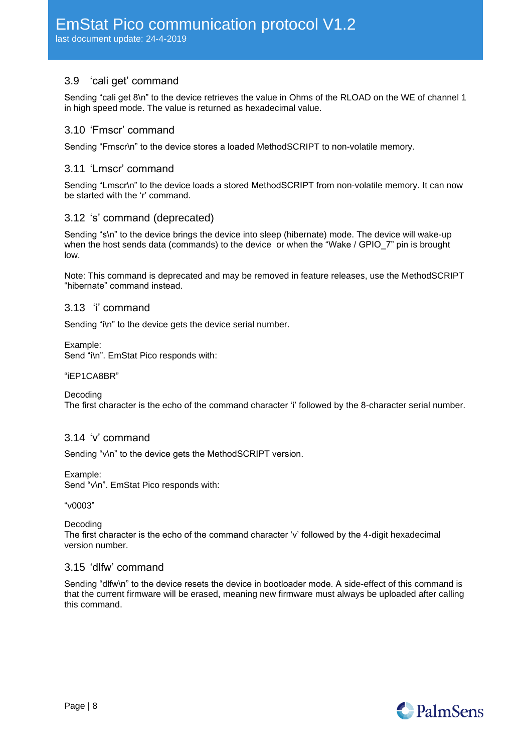## <span id="page-7-0"></span>3.9 'cali get' command

Sending "cali get 8\n" to the device retrieves the value in Ohms of the RLOAD on the WE of channel 1 in high speed mode. The value is returned as hexadecimal value.

#### <span id="page-7-1"></span>3.10 'Fmscr' command

<span id="page-7-2"></span>Sending "Fmscr\n" to the device stores a loaded MethodSCRIPT to non-volatile memory.

#### 3.11 'Lmscr' command

Sending "Lmscr\n" to the device loads a stored MethodSCRIPT from non-volatile memory. It can now be started with the 'r' command.

#### <span id="page-7-3"></span>3.12 's' command (deprecated)

Sending "s\n" to the device brings the device into sleep (hibernate) mode. The device will wake-up when the host sends data (commands) to the device or when the "Wake / GPIO 7" pin is brought low.

Note: This command is deprecated and may be removed in feature releases, use the MethodSCRIPT "hibernate" command instead.

#### <span id="page-7-4"></span>3.13 'i' command

Sending "i\n" to the device gets the device serial number.

Example:

Send "i\n". EmStat Pico responds with:

#### "iEP1CA8BR"

Decoding

The first character is the echo of the command character 'i' followed by the 8-character serial number.

#### <span id="page-7-5"></span>3.14 'v' command

Sending "v\n" to the device gets the MethodSCRIPT version.

Example:

Send "v\n". EmStat Pico responds with:

"v0003"

Decoding

The first character is the echo of the command character 'v' followed by the 4-digit hexadecimal version number.

#### <span id="page-7-6"></span>3.15 'dlfw' command

Sending "dlfw\n" to the device resets the device in bootloader mode. A side-effect of this command is that the current firmware will be erased, meaning new firmware must always be uploaded after calling this command.

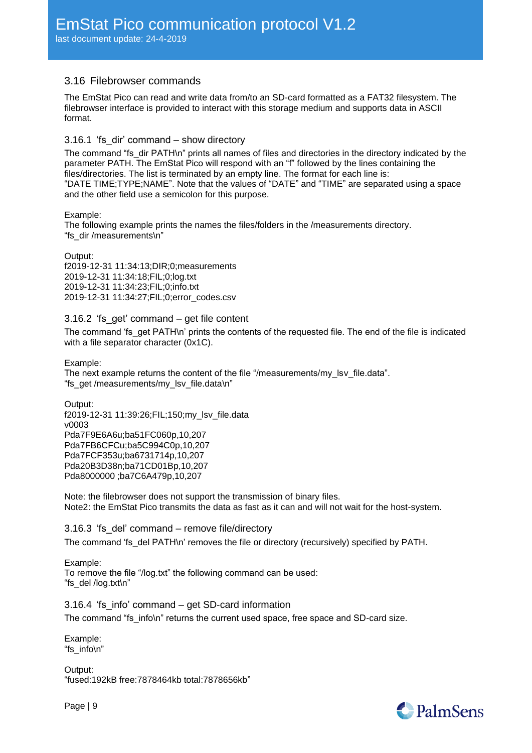#### <span id="page-8-0"></span>3.16 Filebrowser commands

The EmStat Pico can read and write data from/to an SD-card formatted as a FAT32 filesystem. The filebrowser interface is provided to interact with this storage medium and supports data in ASCII format.

#### <span id="page-8-1"></span>3.16.1 'fs\_dir' command – show directory

The command "fs\_dir PATH\n" prints all names of files and directories in the directory indicated by the parameter PATH. The EmStat Pico will respond with an "f" followed by the lines containing the files/directories. The list is terminated by an empty line. The format for each line is: "DATE TIME;TYPE;NAME". Note that the values of "DATE" and "TIME" are separated using a space and the other field use a semicolon for this purpose.

Example:

The following example prints the names the files/folders in the /measurements directory. "fs\_dir /measurements\n"

Output:

f2019-12-31 11:34:13;DIR;0;measurements 2019-12-31 11:34:18;FIL;0;log.txt 2019-12-31 11:34:23;FIL;0;info.txt 2019-12-31 11:34:27;FIL;0;error\_codes.csv

#### <span id="page-8-2"></span>3.16.2 'fs\_get' command – get file content

The command 'fs get PATH\n' prints the contents of the requested file. The end of the file is indicated with a file separator character (0x1C).

Example: The next example returns the content of the file "/measurements/my\_lsv\_file.data". "fs\_get /measurements/my\_lsv\_file.data\n"

Output: f2019-12-31 11:39:26;FIL;150;my\_lsv\_file.data v0003 Pda7F9E6A6u;ba51FC060p,10,207 Pda7FB6CFCu;ba5C994C0p,10,207 Pda7FCF353u;ba6731714p,10,207 Pda20B3D38n;ba71CD01Bp,10,207 Pda8000000 ;ba7C6A479p,10,207

Note: the filebrowser does not support the transmission of binary files. Note2: the EmStat Pico transmits the data as fast as it can and will not wait for the host-system.

<span id="page-8-3"></span>3.16.3 'fs\_del' command – remove file/directory The command 'fs del PATH\n' removes the file or directory (recursively) specified by PATH.

Example: To remove the file "/log.txt" the following command can be used: "fs\_del /log.txt\n"

<span id="page-8-4"></span>3.16.4 'fs\_info' command – get SD-card information The command "fs\_info\n" returns the current used space, free space and SD-card size.

Example: "fs\_info\n"

Output: "fused:192kB free:7878464kb total:7878656kb"

Page | 9

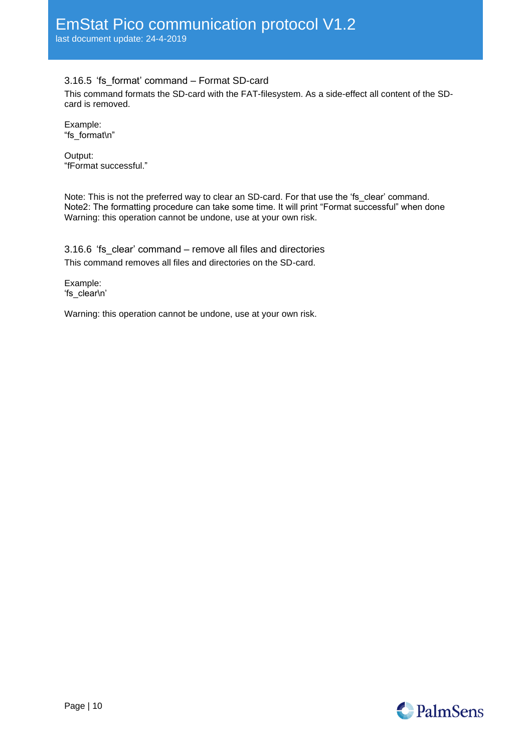### <span id="page-9-0"></span>3.16.5 'fs\_format' command – Format SD-card

This command formats the SD-card with the FAT-filesystem. As a side-effect all content of the SDcard is removed.

Example: "fs\_format\n"

Output: "fFormat successful."

Note: This is not the preferred way to clear an SD-card. For that use the 'fs\_clear' command. Note2: The formatting procedure can take some time. It will print "Format successful" when done Warning: this operation cannot be undone, use at your own risk.

<span id="page-9-1"></span>3.16.6 'fs clear' command – remove all files and directories This command removes all files and directories on the SD-card.

Example: 'fs\_clear\n'

Warning: this operation cannot be undone, use at your own risk.

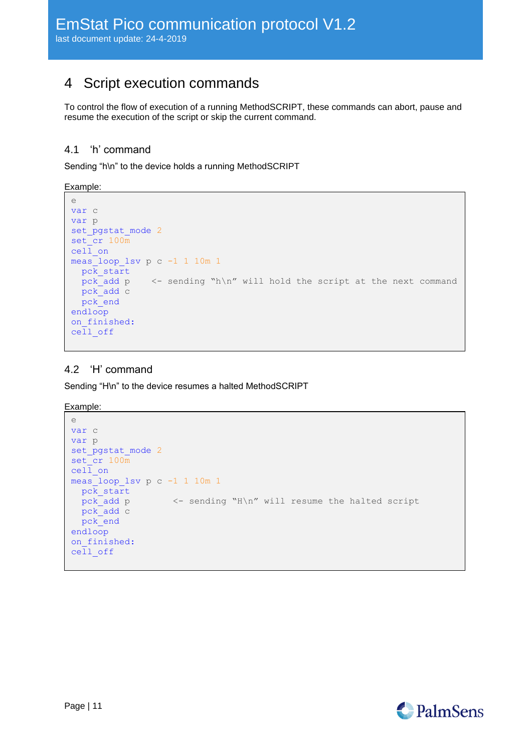## <span id="page-10-0"></span>4 Script execution commands

To control the flow of execution of a running MethodSCRIPT, these commands can abort, pause and resume the execution of the script or skip the current command.

### <span id="page-10-1"></span>4.1 'h' command

Sending "h\n" to the device holds a running MethodSCRIPT

Example:

```
e
var c
var p
set_pgstat_mode 2
set_cr 100m
cell_on
meas loop lsv p c -1 1 10m 1
  pck_start
 pck add p <- sending "h\n" will hold the script at the next command
  pck_add c
  pck_end
endloop
on_finished:
cell_off
```
### <span id="page-10-2"></span>4.2 'H' command

Sending "H\n" to the device resumes a halted MethodSCRIPT

Example:

```
e
var c
var p
set pgstat mode 2
set cr 100m
ceil on
meas_loop_lsv p c -1 1 10m 1
 pc\overline{k} start
   pck_add p <- sending "H\n" will resume the halted script
  pck_add c
   pck_end
endloop
on finished:
cell_off
```
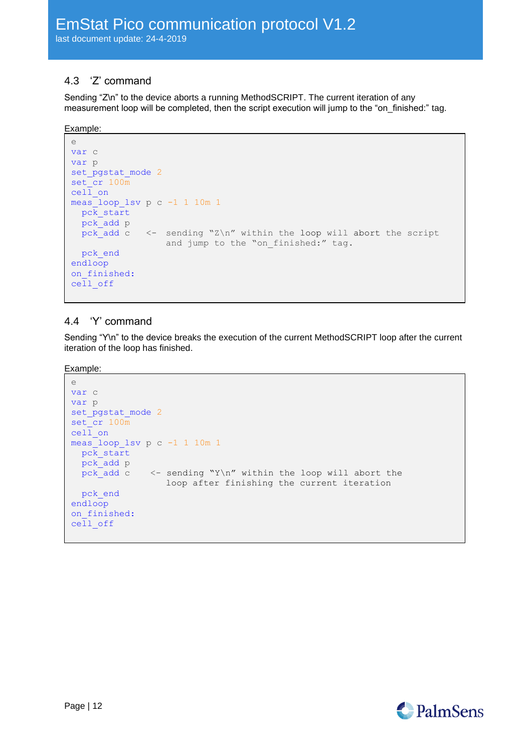## <span id="page-11-0"></span>4.3 'Z' command

Sending "Z\n" to the device aborts a running MethodSCRIPT. The current iteration of any measurement loop will be completed, then the script execution will jump to the "on\_finished:" tag.

Example:

```
e
var c
var p
set pgstat mode 2
set cr 100m
ceil on
meas_loop_lsv p c -1 1 10m 1
  pck_start
  pck_add p
 pck_add c \leq sending "Z\n" within the loop will abort the script
                 and jump to the "on finished:" tag.
  pck_end
endloop
on finished:
cell_off
```
## <span id="page-11-1"></span>4.4 'Y' command

Sending "Y\n" to the device breaks the execution of the current MethodSCRIPT loop after the current iteration of the loop has finished.

Example:

```
e
var c
var p
set_pgstat_mode 2
set_cr 100m
cell on
meas_loop_lsv p c -1 1 10m 1
  pck_start
  pck_add p
 pck_add c \leq sending "Y\n" within the loop will abort the
                 loop after finishing the current iteration
  pck_end
endloop
on finished:
cell_off
```
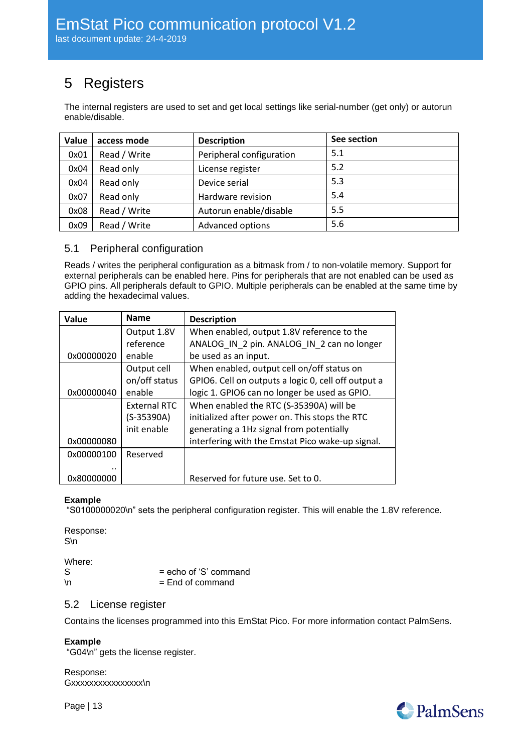# <span id="page-12-0"></span>5 Registers

The internal registers are used to set and get local settings like serial-number (get only) or autorun enable/disable.

| Value | access mode  | <b>Description</b>       | See section |
|-------|--------------|--------------------------|-------------|
| 0x01  | Read / Write | Peripheral configuration | 5.1         |
| 0x04  | Read only    | License register         | 5.2         |
| 0x04  | Read only    | Device serial            | 5.3         |
| 0x07  | Read only    | Hardware revision        | 5.4         |
| 0x08  | Read / Write | Autorun enable/disable   | 5.5         |
| 0x09  | Read / Write | Advanced options         | 5.6         |

### <span id="page-12-1"></span>5.1 Peripheral configuration

Reads / writes the peripheral configuration as a bitmask from / to non-volatile memory. Support for external peripherals can be enabled here. Pins for peripherals that are not enabled can be used as GPIO pins. All peripherals default to GPIO. Multiple peripherals can be enabled at the same time by adding the hexadecimal values.

| Value      | <b>Name</b>         | <b>Description</b>                                  |
|------------|---------------------|-----------------------------------------------------|
|            | Output 1.8V         | When enabled, output 1.8V reference to the          |
|            | reference           | ANALOG IN 2 pin. ANALOG IN 2 can no longer          |
| 0x00000020 | enable              | be used as an input.                                |
|            | Output cell         | When enabled, output cell on/off status on          |
|            | on/off status       | GPIO6. Cell on outputs a logic 0, cell off output a |
| 0x00000040 | enable              | logic 1. GPIO6 can no longer be used as GPIO.       |
|            | <b>External RTC</b> | When enabled the RTC (S-35390A) will be             |
|            | (S-35390A)          | initialized after power on. This stops the RTC      |
|            | init enable         | generating a 1Hz signal from potentially            |
| 0x00000080 |                     | interfering with the Emstat Pico wake-up signal.    |
| 0x00000100 | Reserved            |                                                     |
|            |                     |                                                     |
| 0x80000000 |                     | Reserved for future use. Set to 0.                  |

#### **Example**

"S0100000020\n" sets the peripheral configuration register. This will enable the 1.8V reference.

Response: S\n

Where:

S = echo of 'S' command  $\ln$  = End of command

#### <span id="page-12-2"></span>5.2 License register

Contains the licenses programmed into this EmStat Pico. For more information contact PalmSens.

#### **Example**

"G04\n" gets the license register.

Response: Gxxxxxxxxxxxxxxxx

Page | 13

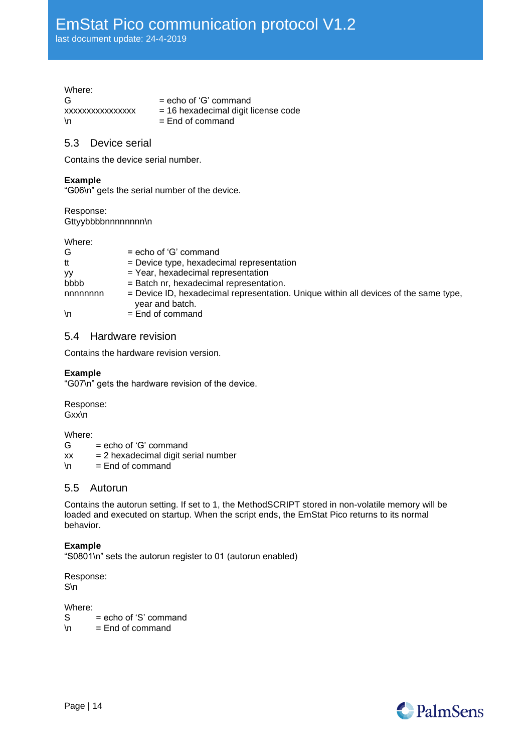last document update: 24-4-2019

#### Where:

 $G = echo of 'G' command$  $xxxxxxxxxxxxx$  = 16 hexadecimal digit license code  $\ln$  = End of command

### <span id="page-13-0"></span>5.3 Device serial

Contains the device serial number.

#### **Example**

"G06\n" gets the serial number of the device.

Response: Gttyybbbbnnnnnnnn\n

Where:

| G       | $=$ echo of 'G' command                                                                                   |
|---------|-----------------------------------------------------------------------------------------------------------|
| tt      | $=$ Device type, hexadecimal representation                                                               |
| yy      | = Year, hexadecimal representation                                                                        |
| bbbb    | = Batch nr, hexadecimal representation.                                                                   |
| nnnnnnn | $=$ Device ID, hexadecimal representation. Unique within all devices of the same type,<br>year and batch. |
|         |                                                                                                           |

<span id="page-13-1"></span> $\ln$  = End of command

#### 5.4 Hardware revision

Contains the hardware revision version.

#### **Example**

"G07\n" gets the hardware revision of the device.

Response: Gxx\n

Where:<br>G

= echo of 'G' command

 $xx = 2$  hexadecimal digit serial number

<span id="page-13-2"></span> $\ln$  = End of command

#### 5.5 Autorun

Contains the autorun setting. If set to 1, the MethodSCRIPT stored in non-volatile memory will be loaded and executed on startup. When the script ends, the EmStat Pico returns to its normal behavior.

#### **Example**

"S0801\n" sets the autorun register to 01 (autorun enabled)

Response: S\n

Where:

S = echo of 'S' command  $\ln$  = End of command

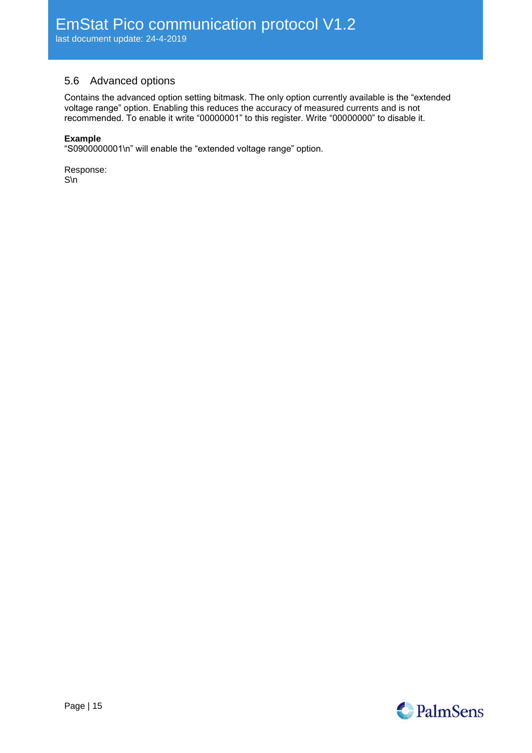### <span id="page-14-0"></span>5.6 Advanced options

Contains the advanced option setting bitmask. The only option currently available is the "extended voltage range" option. Enabling this reduces the accuracy of measured currents and is not recommended. To enable it write "00000001" to this register. Write "00000000" to disable it.

#### **Example**

"S0900000001\n" will enable the "extended voltage range" option.

Response: S\n

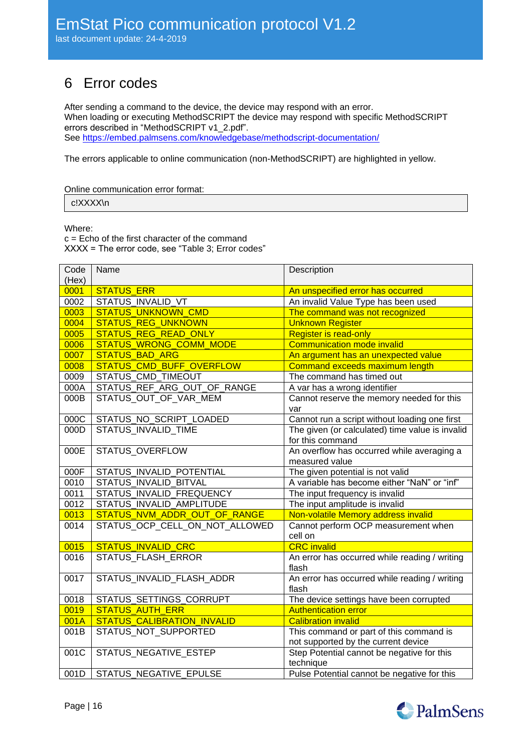## <span id="page-15-0"></span>6 Error codes

After sending a command to the device, the device may respond with an error. When loading or executing MethodSCRIPT the device may respond with specific MethodSCRIPT errors described in "MethodSCRIPT v1\_2.pdf". See<https://embed.palmsens.com/knowledgebase/methodscript-documentation/>

The errors applicable to online communication (non-MethodSCRIPT) are highlighted in yellow.

| Online communication error format: |  |
|------------------------------------|--|
|------------------------------------|--|

c!XXXX\n

Where:

c = Echo of the first character of the command XXXX = The error code, see ["Table 3; Error codes"](#page-17-0)

| Code  | Name                              | Description                                     |
|-------|-----------------------------------|-------------------------------------------------|
| (Hex) |                                   |                                                 |
| 0001  | <b>STATUS ERR</b>                 | An unspecified error has occurred               |
| 0002  | STATUS INVALID VT                 | An invalid Value Type has been used             |
| 0003  | <b>STATUS UNKNOWN CMD</b>         | The command was not recognized                  |
| 0004  | <b>STATUS REG UNKNOWN</b>         | <b>Unknown Register</b>                         |
| 0005  | <b>STATUS REG READ ONLY</b>       | <b>Register is read-only</b>                    |
| 0006  | <b>STATUS WRONG COMM MODE</b>     | <b>Communication mode invalid</b>               |
| 0007  | <b>STATUS BAD ARG</b>             | An argument has an unexpected value             |
| 0008  | STATUS_CMD_BUFF_OVERFLOW          | Command exceeds maximum length                  |
| 0009  | STATUS_CMD_TIMEOUT                | The command has timed out                       |
| 000A  | STATUS_REF_ARG_OUT_OF_RANGE       | A var has a wrong identifier                    |
| 000B  | STATUS_OUT_OF_VAR_MEM             | Cannot reserve the memory needed for this       |
|       |                                   | var                                             |
| 000C  | STATUS_NO_SCRIPT_LOADED           | Cannot run a script without loading one first   |
| 000D  | <b>STATUS INVALID TIME</b>        | The given (or calculated) time value is invalid |
|       |                                   | for this command                                |
| 000E  | <b>STATUS OVERFLOW</b>            | An overflow has occurred while averaging a      |
|       |                                   | measured value                                  |
| 000F  | STATUS INVALID POTENTIAL          | The given potential is not valid                |
| 0010  | <b>STATUS INVALID BITVAL</b>      | A variable has become either "NaN" or "inf"     |
| 0011  | STATUS INVALID FREQUENCY          | The input frequency is invalid                  |
| 0012  | STATUS INVALID AMPLITUDE          | The input amplitude is invalid                  |
| 0013  | STATUS_NVM_ADDR_OUT_OF_RANGE      | Non-volatile Memory address invalid             |
| 0014  | STATUS OCP CELL ON NOT ALLOWED    | Cannot perform OCP measurement when             |
|       |                                   | cell on                                         |
| 0015  | <b>STATUS INVALID CRC</b>         | <b>CRC</b> invalid                              |
| 0016  | STATUS FLASH ERROR                | An error has occurred while reading / writing   |
|       |                                   | flash                                           |
| 0017  | STATUS INVALID FLASH ADDR         | An error has occurred while reading / writing   |
|       |                                   | flash                                           |
| 0018  | STATUS_SETTINGS_CORRUPT           | The device settings have been corrupted         |
| 0019  | <b>STATUS AUTH ERR</b>            | <b>Authentication error</b>                     |
| 001A  | <b>STATUS CALIBRATION INVALID</b> | <b>Calibration invalid</b>                      |
| 001B  | STATUS NOT SUPPORTED              | This command or part of this command is         |
|       |                                   | not supported by the current device             |
| 001C  | STATUS_NEGATIVE_ESTEP             | Step Potential cannot be negative for this      |
|       |                                   | technique                                       |
| 001D  | <b>STATUS NEGATIVE EPULSE</b>     | Pulse Potential cannot be negative for this     |

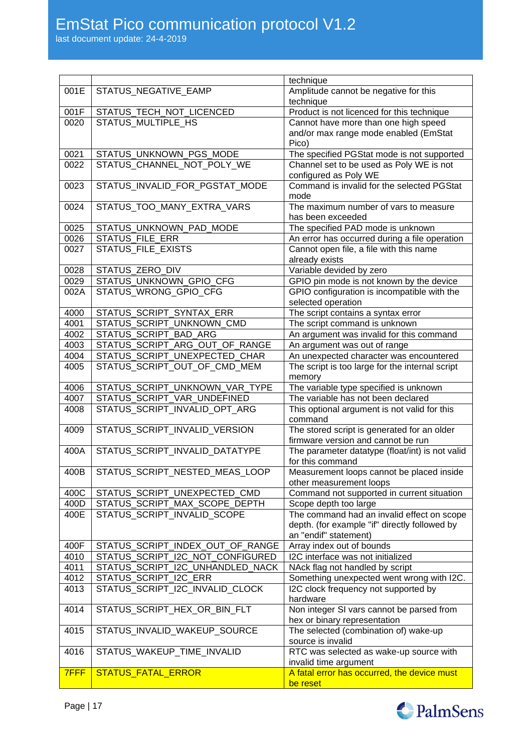last document update: 24-4-2019

|              |                                                              | technique                                                            |
|--------------|--------------------------------------------------------------|----------------------------------------------------------------------|
| 001E         | STATUS_NEGATIVE_EAMP                                         | Amplitude cannot be negative for this                                |
|              |                                                              | technique                                                            |
| 001F         | STATUS_TECH_NOT_LICENCED                                     | Product is not licenced for this technique                           |
| 0020         | STATUS MULTIPLE HS                                           | Cannot have more than one high speed                                 |
|              |                                                              | and/or max range mode enabled (EmStat                                |
|              |                                                              | Pico)                                                                |
| 0021         | STATUS_UNKNOWN_PGS_MODE                                      | The specified PGStat mode is not supported                           |
| 0022         | STATUS CHANNEL NOT POLY WE                                   | Channel set to be used as Poly WE is not                             |
|              |                                                              | configured as Poly WE<br>Command is invalid for the selected PGStat  |
| 0023         | STATUS_INVALID_FOR_PGSTAT_MODE                               | mode                                                                 |
| 0024         | STATUS_TOO_MANY_EXTRA_VARS                                   | The maximum number of vars to measure                                |
|              |                                                              | has been exceeded                                                    |
| 0025         | STATUS_UNKNOWN_PAD_MODE                                      | The specified PAD mode is unknown                                    |
| 0026         | STATUS_FILE_ERR                                              | An error has occurred during a file operation                        |
| 0027         | STATUS_FILE_EXISTS                                           | Cannot open file, a file with this name                              |
|              |                                                              | already exists                                                       |
| 0028         | STATUS_ZERO_DIV                                              | Variable devided by zero                                             |
| 0029         | STATUS UNKNOWN GPIO CFG                                      | GPIO pin mode is not known by the device                             |
| 002A         | STATUS_WRONG_GPIO_CFG                                        | GPIO configuration is incompatible with the                          |
|              |                                                              | selected operation                                                   |
| 4000         | STATUS_SCRIPT_SYNTAX_ERR                                     | The script contains a syntax error                                   |
| 4001         | STATUS SCRIPT UNKNOWN CMD                                    | The script command is unknown                                        |
| 4002         | STATUS_SCRIPT_BAD_ARG                                        | An argument was invalid for this command                             |
| 4003         | STATUS_SCRIPT_ARG_OUT_OF_RANGE                               | An argument was out of range                                         |
| 4004         | STATUS_SCRIPT_UNEXPECTED_CHAR                                | An unexpected character was encountered                              |
| 4005         | STATUS_SCRIPT_OUT_OF_CMD_MEM                                 | The script is too large for the internal script                      |
|              |                                                              | memory                                                               |
| 4006         | STATUS_SCRIPT_UNKNOWN_VAR_TYPE                               | The variable type specified is unknown                               |
| 4007<br>4008 | STATUS_SCRIPT_VAR_UNDEFINED<br>STATUS_SCRIPT_INVALID_OPT_ARG | The variable has not been declared                                   |
|              |                                                              | This optional argument is not valid for this                         |
|              |                                                              |                                                                      |
|              |                                                              | command                                                              |
| 4009         | STATUS SCRIPT INVALID VERSION                                | The stored script is generated for an older                          |
|              |                                                              | firmware version and cannot be run                                   |
| 400A         | STATUS SCRIPT INVALID DATATYPE                               | The parameter datatype (float/int) is not valid<br>for this command  |
| 400B         | STATUS_SCRIPT_NESTED_MEAS_LOOP                               | Measurement loops cannot be placed inside                            |
|              |                                                              | other measurement loops                                              |
| 400C         | STATUS_SCRIPT_UNEXPECTED_CMD                                 | Command not supported in current situation                           |
| 400D         | STATUS_SCRIPT_MAX_SCOPE_DEPTH                                | Scope depth too large                                                |
| 400E         | STATUS SCRIPT INVALID SCOPE                                  | The command had an invalid effect on scope                           |
|              |                                                              | depth. (for example "if" directly followed by                        |
|              |                                                              | an "endif" statement)                                                |
| 400F         | STATUS_SCRIPT_INDEX_OUT_OF_RANGE                             | Array index out of bounds                                            |
| 4010         | STATUS_SCRIPT_I2C_NOT_CONFIGURED                             | I2C interface was not initialized                                    |
| 4011         | STATUS_SCRIPT_I2C_UNHANDLED_NACK                             | NAck flag not handled by script                                      |
| 4012         | STATUS_SCRIPT_I2C_ERR                                        | Something unexpected went wrong with I2C.                            |
| 4013         | STATUS_SCRIPT_I2C_INVALID_CLOCK                              | I2C clock frequency not supported by                                 |
|              |                                                              | hardware                                                             |
| 4014         | STATUS_SCRIPT_HEX_OR_BIN_FLT                                 | Non integer SI vars cannot be parsed from                            |
|              |                                                              | hex or binary representation                                         |
| 4015         | STATUS_INVALID_WAKEUP_SOURCE                                 | The selected (combination of) wake-up                                |
|              |                                                              | source is invalid                                                    |
| 4016         | STATUS_WAKEUP_TIME_INVALID                                   | RTC was selected as wake-up source with                              |
| 7FFF         | <b>STATUS FATAL ERROR</b>                                    | invalid time argument<br>A fatal error has occurred, the device must |

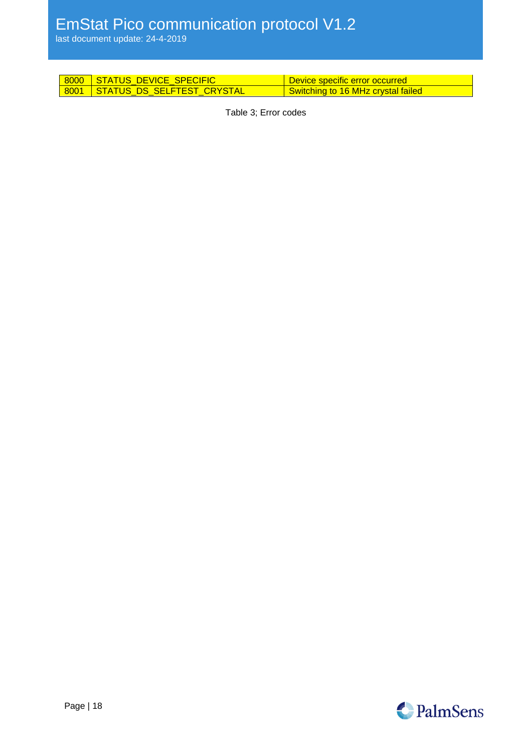last document update: 24-4-2019

<span id="page-17-0"></span>

| 8000 STATUS DEVICE SPECIFIC     | Device specific error occurred l   |
|---------------------------------|------------------------------------|
| 8001 STATUS DS SELFTEST CRYSTAL | Switching to 16 MHz crystal failed |

Table 3; Error codes